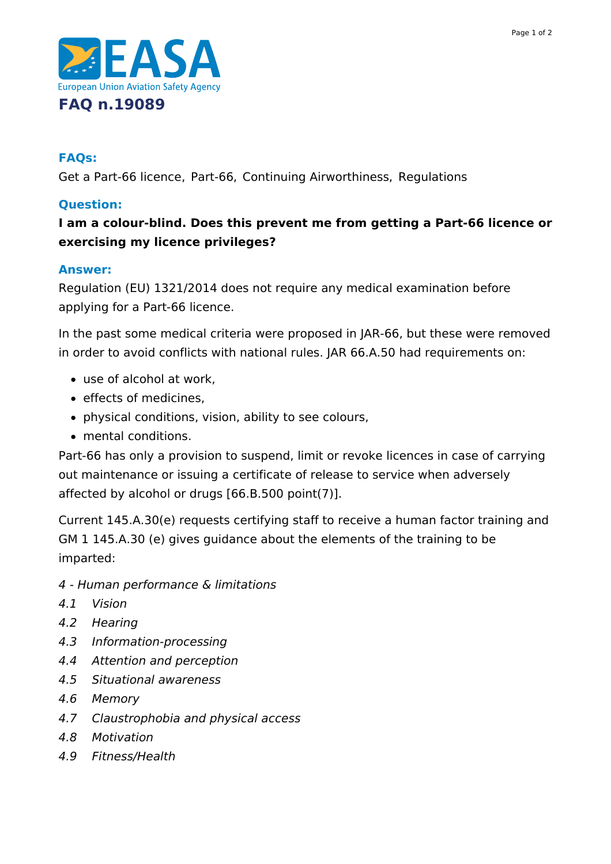

### **FAQs:**

Get a Part-66 licence, Part-66, Continuing Airworthiness, Regulations

### **Question:**

# **I am a colour-blind. Does this prevent me from getting a Part-66 licence or exercising my licence privileges?**

#### **Answer:**

Regulation (EU) 1321/2014 does not require any medical examination before applying for a Part-66 licence.

In the past some medical criteria were proposed in JAR-66, but these were removed in order to avoid conflicts with national rules. JAR 66.A.50 had requirements on:

- use of alcohol at work,
- effects of medicines,
- physical conditions, vision, ability to see colours,
- mental conditions.

Part-66 has only a provision to suspend, limit or revoke licences in case of carrying out maintenance or issuing a certificate of release to service when adversely affected by alcohol or drugs [66.B.500 point(7)].

Current 145.A.30(e) requests certifying staff to receive a human factor training and GM 1 145.A.30 (e) gives guidance about the elements of the training to be imparted:

- 4 Human performance & limitations
- 4.1 Vision
- 4.2 Hearing
- 4.3 Information-processing
- 4.4 Attention and perception
- 4.5 Situational awareness
- 4.6 Memory
- 4.7 Claustrophobia and physical access
- 4.8 Motivation
- 4.9 Fitness/Health